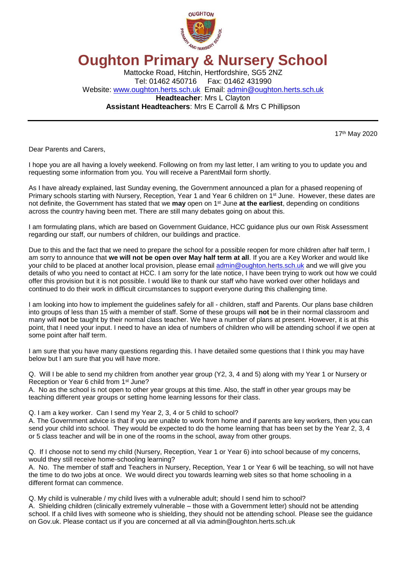

## **Oughton Primary & Nursery School**

Mattocke Road, Hitchin, Hertfordshire, SG5 2NZ Tel: 01462 450716 Fax: 01462 431990 Website: [www.oughton.herts.sch.uk](http://www.oughton.herts.sch.uk/) Email: [admin@oughton.herts.sch.uk](mailto:admin@oughton.herts.sch.uk) **Headteacher**: Mrs L Clayton **Assistant Headteachers**: Mrs E Carroll & Mrs C Phillipson

17th May 2020

Dear Parents and Carers,

I hope you are all having a lovely weekend. Following on from my last letter, I am writing to you to update you and requesting some information from you. You will receive a ParentMail form shortly.

As I have already explained, last Sunday evening, the Government announced a plan for a phased reopening of Primary schools starting with Nursery, Reception, Year 1 and Year 6 children on 1<sup>st</sup> June. However, these dates are not definite, the Government has stated that we **may** open on 1st June **at the earliest**, depending on conditions across the country having been met. There are still many debates going on about this.

I am formulating plans, which are based on Government Guidance, HCC guidance plus our own Risk Assessment regarding our staff, our numbers of children, our buildings and practice.

Due to this and the fact that we need to prepare the school for a possible reopen for more children after half term, I am sorry to announce that **we will not be open over May half term at all**. If you are a Key Worker and would like your child to be placed at another local provision, please email [admin@oughton.herts.sch.uk](mailto:admin@oughton.herts.sch.uk) and we will give you details of who you need to contact at HCC. I am sorry for the late notice, I have been trying to work out how we could offer this provision but it is not possible. I would like to thank our staff who have worked over other holidays and continued to do their work in difficult circumstances to support everyone during this challenging time.

I am looking into how to implement the guidelines safely for all - children, staff and Parents. Our plans base children into groups of less than 15 with a member of staff. Some of these groups will **not** be in their normal classroom and many will **not** be taught by their normal class teacher. We have a number of plans at present. However, it is at this point, that I need your input. I need to have an idea of numbers of children who will be attending school if we open at some point after half term.

I am sure that you have many questions regarding this. I have detailed some questions that I think you may have below but I am sure that you will have more.

Q. Will I be able to send my children from another year group (Y2, 3, 4 and 5) along with my Year 1 or Nursery or Reception or Year 6 child from 1st June?

A. No as the school is not open to other year groups at this time. Also, the staff in other year groups may be teaching different year groups or setting home learning lessons for their class.

Q. I am a key worker. Can I send my Year 2, 3, 4 or 5 child to school?

A. The Government advice is that if you are unable to work from home and if parents are key workers, then you can send your child into school. They would be expected to do the home learning that has been set by the Year 2, 3, 4 or 5 class teacher and will be in one of the rooms in the school, away from other groups.

Q. If I choose not to send my child (Nursery, Reception, Year 1 or Year 6) into school because of my concerns, would they still receive home-schooling learning?

A. No. The member of staff and Teachers in Nursery, Reception, Year 1 or Year 6 will be teaching, so will not have the time to do two jobs at once. We would direct you towards learning web sites so that home schooling in a different format can commence.

Q. My child is vulnerable / my child lives with a vulnerable adult; should I send him to school?

A. Shielding children (clinically extremely vulnerable – those with a Government letter) should not be attending school. If a child lives with someone who is shielding, they should not be attending school. Please see the guidance on Gov.uk. Please contact us if you are concerned at all via admin@oughton.herts.sch.uk